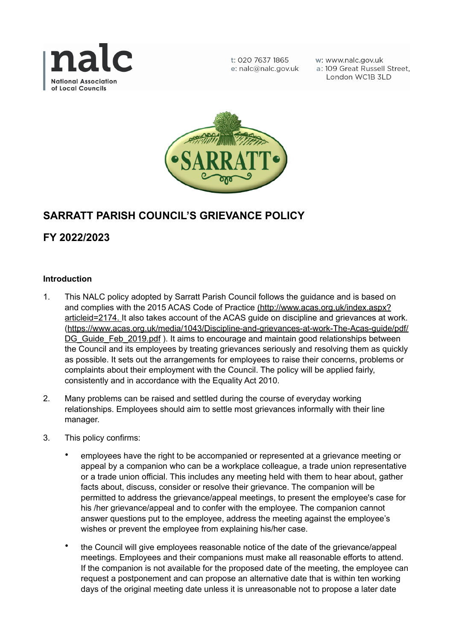

t: 020 7637 1865 e: nalc@nalc.gov.uk w: www.nalc.gov.uk a: 109 Great Russell Street. London WC1B 3LD



# **SARRATT PARISH COUNCIL'S GRIEVANCE POLICY**

**FY 2022/2023**

## **Introduction**

- 1. This NALC policy adopted by Sarratt Parish Council follows the guidance and is based on and complies with the 2015 ACAS Code of Practice ([http://www.acas.org.uk/index.aspx?](http://www.acas.org.uk/index.aspx?articleid=2174) [articleid=2174.](http://www.acas.org.uk/index.aspx?articleid=2174) It also takes account of the ACAS guide on discipline and grievances at work. [\(https://www.acas.org.uk/media/1043/Discipline-and-grievances-at-work-The-Acas-guide/pdf/](https://www.acas.org.uk/media/1043/Discipline-and-grievances-at-work-The-Acas-guide/pdf/DG_Guide_Feb_2019.pdf) DG Guide Feb 2019.pdf ). It aims to encourage and maintain good relationships between the Council and its employees by treating grievances seriously and resolving them as quickly as possible. It sets out the arrangements for employees to raise their concerns, problems or complaints about their employment with the Council. The policy will be applied fairly, consistently and in accordance with the Equality Act 2010.
- 2. Many problems can be raised and settled during the course of everyday working relationships. Employees should aim to settle most grievances informally with their line manager.
- 3. This policy confirms:
	- employees have the right to be accompanied or represented at a grievance meeting or appeal by a companion who can be a workplace colleague, a trade union representative or a trade union official. This includes any meeting held with them to hear about, gather facts about, discuss, consider or resolve their grievance. The companion will be permitted to address the grievance/appeal meetings, to present the employee's case for his /her grievance/appeal and to confer with the employee. The companion cannot answer questions put to the employee, address the meeting against the employee's wishes or prevent the employee from explaining his/her case.
	- the Council will give employees reasonable notice of the date of the grievance/appeal meetings. Employees and their companions must make all reasonable efforts to attend. If the companion is not available for the proposed date of the meeting, the employee can request a postponement and can propose an alternative date that is within ten working days of the original meeting date unless it is unreasonable not to propose a later date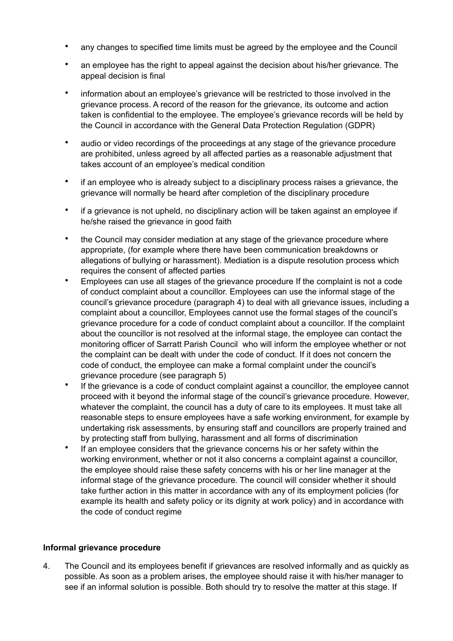- any changes to specified time limits must be agreed by the employee and the Council
- an employee has the right to appeal against the decision about his/her grievance. The appeal decision is final
- information about an employee's grievance will be restricted to those involved in the grievance process. A record of the reason for the grievance, its outcome and action taken is confidential to the employee. The employee's grievance records will be held by the Council in accordance with the General Data Protection Regulation (GDPR)
- audio or video recordings of the proceedings at any stage of the grievance procedure are prohibited, unless agreed by all affected parties as a reasonable adjustment that takes account of an employee's medical condition
- if an employee who is already subject to a disciplinary process raises a grievance, the grievance will normally be heard after completion of the disciplinary procedure
- if a grievance is not upheld, no disciplinary action will be taken against an employee if he/she raised the grievance in good faith
- the Council may consider mediation at any stage of the grievance procedure where appropriate, (for example where there have been communication breakdowns or allegations of bullying or harassment). Mediation is a dispute resolution process which requires the consent of affected parties
- Employees can use all stages of the grievance procedure If the complaint is not a code of conduct complaint about a councillor. Employees can use the informal stage of the council's grievance procedure (paragraph 4) to deal with all grievance issues, including a complaint about a councillor, Employees cannot use the formal stages of the council's grievance procedure for a code of conduct complaint about a councillor. If the complaint about the councillor is not resolved at the informal stage, the employee can contact the monitoring officer of Sarratt Parish Council who will inform the employee whether or not the complaint can be dealt with under the code of conduct. If it does not concern the code of conduct, the employee can make a formal complaint under the council's grievance procedure (see paragraph 5)
- If the grievance is a code of conduct complaint against a councillor, the employee cannot proceed with it beyond the informal stage of the council's grievance procedure. However, whatever the complaint, the council has a duty of care to its employees. It must take all reasonable steps to ensure employees have a safe working environment, for example by undertaking risk assessments, by ensuring staff and councillors are properly trained and by protecting staff from bullying, harassment and all forms of discrimination
- If an employee considers that the grievance concerns his or her safety within the working environment, whether or not it also concerns a complaint against a councillor, the employee should raise these safety concerns with his or her line manager at the informal stage of the grievance procedure. The council will consider whether it should take further action in this matter in accordance with any of its employment policies (for example its health and safety policy or its dignity at work policy) and in accordance with the code of conduct regime

## **Informal grievance procedure**

4. The Council and its employees benefit if grievances are resolved informally and as quickly as possible. As soon as a problem arises, the employee should raise it with his/her manager to see if an informal solution is possible. Both should try to resolve the matter at this stage. If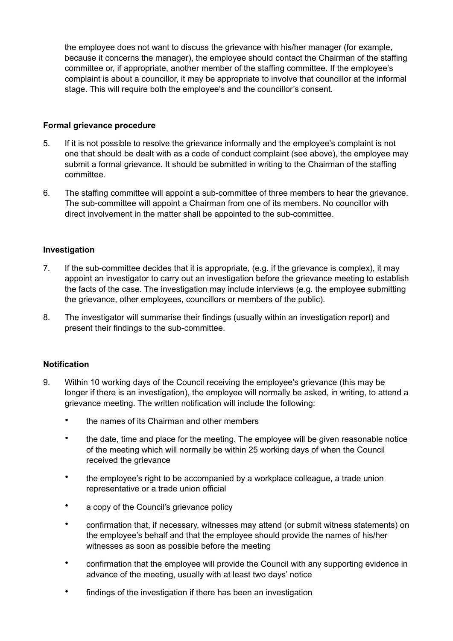the employee does not want to discuss the grievance with his/her manager (for example, because it concerns the manager), the employee should contact the Chairman of the staffing committee or, if appropriate, another member of the staffing committee. If the employee's complaint is about a councillor, it may be appropriate to involve that councillor at the informal stage. This will require both the employee's and the councillor's consent.

## **Formal grievance procedure**

- 5. If it is not possible to resolve the grievance informally and the employee's complaint is not one that should be dealt with as a code of conduct complaint (see above), the employee may submit a formal grievance. It should be submitted in writing to the Chairman of the staffing committee.
- 6. The staffing committee will appoint a sub-committee of three members to hear the grievance. The sub-committee will appoint a Chairman from one of its members. No councillor with direct involvement in the matter shall be appointed to the sub-committee.

## **Investigation**

- 7. If the sub-committee decides that it is appropriate, (e.g. if the grievance is complex), it may appoint an investigator to carry out an investigation before the grievance meeting to establish the facts of the case. The investigation may include interviews (e.g. the employee submitting the grievance, other employees, councillors or members of the public).
- 8. The investigator will summarise their findings (usually within an investigation report) and present their findings to the sub-committee.

## **Notification**

- 9. Within 10 working days of the Council receiving the employee's grievance (this may be longer if there is an investigation), the employee will normally be asked, in writing, to attend a grievance meeting. The written notification will include the following:
	- the names of its Chairman and other members
	- the date, time and place for the meeting. The employee will be given reasonable notice of the meeting which will normally be within 25 working days of when the Council received the grievance
	- the employee's right to be accompanied by a workplace colleague, a trade union representative or a trade union official
	- a copy of the Council's grievance policy
	- confirmation that, if necessary, witnesses may attend (or submit witness statements) on the employee's behalf and that the employee should provide the names of his/her witnesses as soon as possible before the meeting
	- confirmation that the employee will provide the Council with any supporting evidence in advance of the meeting, usually with at least two days' notice
	- findings of the investigation if there has been an investigation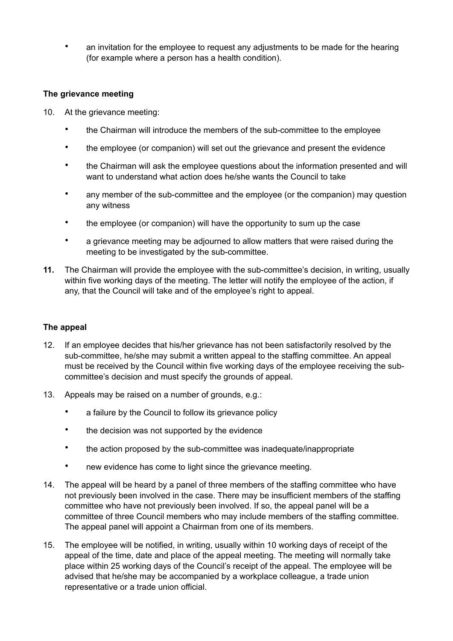• an invitation for the employee to request any adjustments to be made for the hearing (for example where a person has a health condition).

## **The grievance meeting**

- 10. At the grievance meeting:
	- the Chairman will introduce the members of the sub-committee to the employee
	- the employee (or companion) will set out the grievance and present the evidence
	- the Chairman will ask the employee questions about the information presented and will want to understand what action does he/she wants the Council to take
	- any member of the sub-committee and the employee (or the companion) may question any witness
	- the employee (or companion) will have the opportunity to sum up the case
	- a grievance meeting may be adjourned to allow matters that were raised during the meeting to be investigated by the sub-committee.
- **11.** The Chairman will provide the employee with the sub-committee's decision, in writing, usually within five working days of the meeting. The letter will notify the employee of the action, if any, that the Council will take and of the employee's right to appeal.

## **The appeal**

- 12. If an employee decides that his/her grievance has not been satisfactorily resolved by the sub-committee, he/she may submit a written appeal to the staffing committee. An appeal must be received by the Council within five working days of the employee receiving the subcommittee's decision and must specify the grounds of appeal.
- 13. Appeals may be raised on a number of grounds, e.g.:
	- a failure by the Council to follow its grievance policy
	- the decision was not supported by the evidence
	- the action proposed by the sub-committee was inadequate/inappropriate
	- new evidence has come to light since the grievance meeting.
- 14. The appeal will be heard by a panel of three members of the staffing committee who have not previously been involved in the case. There may be insufficient members of the staffing committee who have not previously been involved. If so, the appeal panel will be a committee of three Council members who may include members of the staffing committee. The appeal panel will appoint a Chairman from one of its members.
- 15. The employee will be notified, in writing, usually within 10 working days of receipt of the appeal of the time, date and place of the appeal meeting. The meeting will normally take place within 25 working days of the Council's receipt of the appeal. The employee will be advised that he/she may be accompanied by a workplace colleague, a trade union representative or a trade union official.